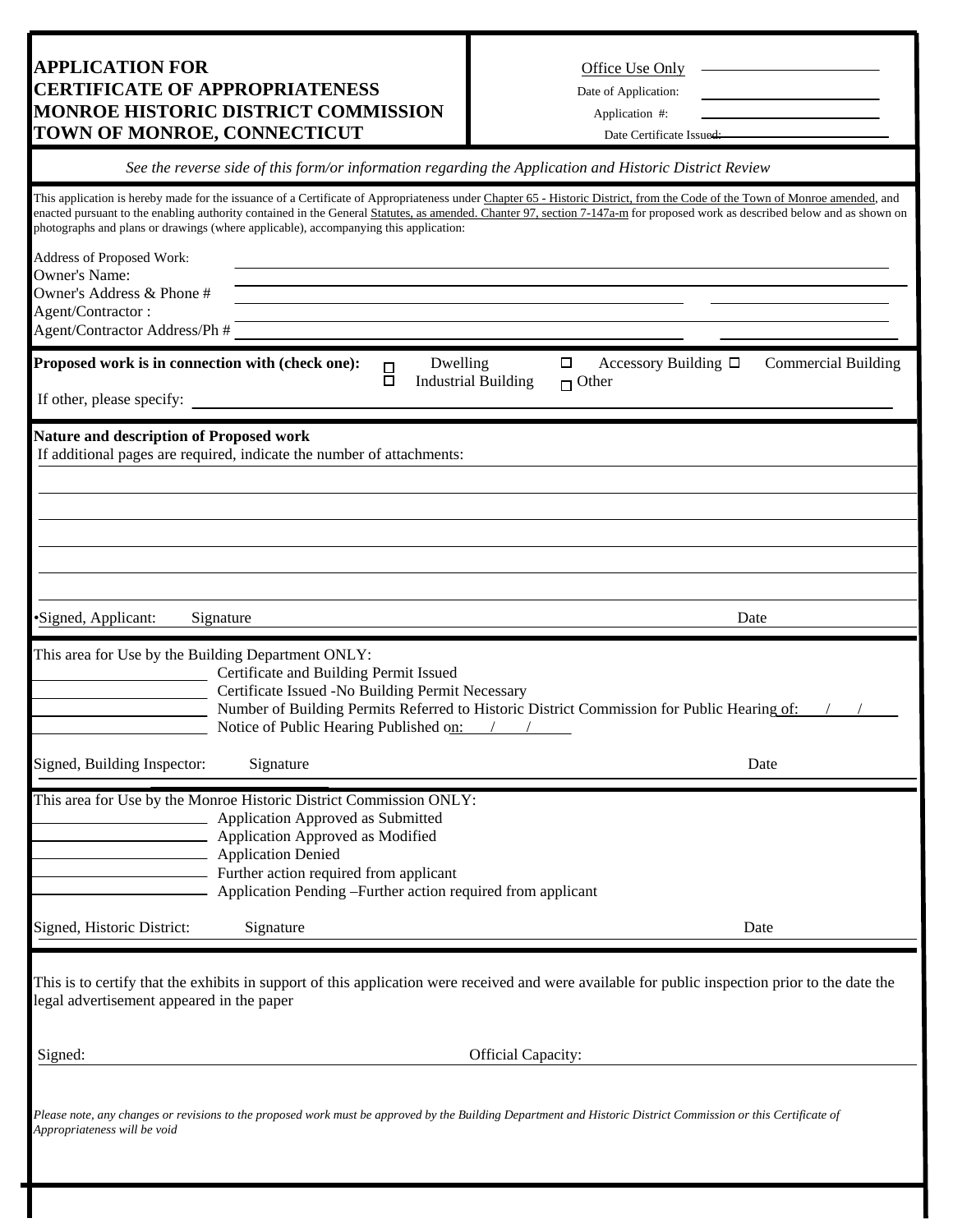## **APPLICATION FOR CERTIFICATE OF APPROPRIATENESS** Date of Application: **MONROE HISTORIC DISTRICT COMMISSION** Application #: **TOWN OF MONROE, CONNECTICUT** Date Certificate Issued:

| Office Use Only |  |
|-----------------|--|
|                 |  |

## *See the reverse side of this form/or information regarding the Application and Historic District Review*

|                                                    | photographs and plans or drawings (where applicable), accompanying this application:                                                                                                                                                                                        |                                        | This application is hereby made for the issuance of a Certificate of Appropriateness under Chapter 65 - Historic District, from the Code of the Town of Monroe amended, and<br>enacted pursuant to the enabling authority contained in the General Statutes, as amended. Chanter 97, section 7-147a-m for proposed work as described below and as shown on |                            |
|----------------------------------------------------|-----------------------------------------------------------------------------------------------------------------------------------------------------------------------------------------------------------------------------------------------------------------------------|----------------------------------------|------------------------------------------------------------------------------------------------------------------------------------------------------------------------------------------------------------------------------------------------------------------------------------------------------------------------------------------------------------|----------------------------|
| Address of Proposed Work:                          |                                                                                                                                                                                                                                                                             |                                        |                                                                                                                                                                                                                                                                                                                                                            |                            |
| <b>Owner's Name:</b><br>Owner's Address & Phone #  |                                                                                                                                                                                                                                                                             |                                        |                                                                                                                                                                                                                                                                                                                                                            |                            |
| Agent/Contractor:                                  |                                                                                                                                                                                                                                                                             |                                        |                                                                                                                                                                                                                                                                                                                                                            |                            |
| Agent/Contractor Address/Ph #                      |                                                                                                                                                                                                                                                                             |                                        |                                                                                                                                                                                                                                                                                                                                                            |                            |
| Proposed work is in connection with (check one):   | $\Box$                                                                                                                                                                                                                                                                      | Dwelling<br><b>Industrial Building</b> | $\Box$<br>Accessory Building $\Box$<br>$\Box$ Other                                                                                                                                                                                                                                                                                                        | <b>Commercial Building</b> |
| If other, please specify:                          |                                                                                                                                                                                                                                                                             |                                        |                                                                                                                                                                                                                                                                                                                                                            |                            |
| <b>Nature and description of Proposed work</b>     | If additional pages are required, indicate the number of attachments:                                                                                                                                                                                                       |                                        |                                                                                                                                                                                                                                                                                                                                                            |                            |
|                                                    |                                                                                                                                                                                                                                                                             |                                        |                                                                                                                                                                                                                                                                                                                                                            |                            |
|                                                    |                                                                                                                                                                                                                                                                             |                                        |                                                                                                                                                                                                                                                                                                                                                            |                            |
|                                                    |                                                                                                                                                                                                                                                                             |                                        |                                                                                                                                                                                                                                                                                                                                                            |                            |
|                                                    |                                                                                                                                                                                                                                                                             |                                        |                                                                                                                                                                                                                                                                                                                                                            |                            |
|                                                    |                                                                                                                                                                                                                                                                             |                                        |                                                                                                                                                                                                                                                                                                                                                            |                            |
| ·Signed, Applicant:                                | Signature                                                                                                                                                                                                                                                                   |                                        | Date                                                                                                                                                                                                                                                                                                                                                       |                            |
| This area for Use by the Building Department ONLY: | Certificate and Building Permit Issued<br>Certificate Issued -No Building Permit Necessary<br>Notice of Public Hearing Published on: / /                                                                                                                                    |                                        | Number of Building Permits Referred to Historic District Commission for Public Hearing of:                                                                                                                                                                                                                                                                 |                            |
| Signed, Building Inspector:                        | Signature                                                                                                                                                                                                                                                                   |                                        |                                                                                                                                                                                                                                                                                                                                                            | Date                       |
|                                                    | This area for Use by the Monroe Historic District Commission ONLY:<br>Application Approved as Submitted<br>Application Approved as Modified<br>Application Denied<br>Further action required from applicant<br>Application Pending - Further action required from applicant |                                        |                                                                                                                                                                                                                                                                                                                                                            |                            |
| Signed, Historic District:                         | Signature                                                                                                                                                                                                                                                                   |                                        |                                                                                                                                                                                                                                                                                                                                                            | Date                       |
| legal advertisement appeared in the paper          |                                                                                                                                                                                                                                                                             |                                        | This is to certify that the exhibits in support of this application were received and were available for public inspection prior to the date the                                                                                                                                                                                                           |                            |
| Signed:                                            | <b>Official Capacity:</b>                                                                                                                                                                                                                                                   |                                        |                                                                                                                                                                                                                                                                                                                                                            |                            |
| Appropriateness will be void                       |                                                                                                                                                                                                                                                                             |                                        | Please note, any changes or revisions to the proposed work must be approved by the Building Department and Historic District Commission or this Certificate of                                                                                                                                                                                             |                            |